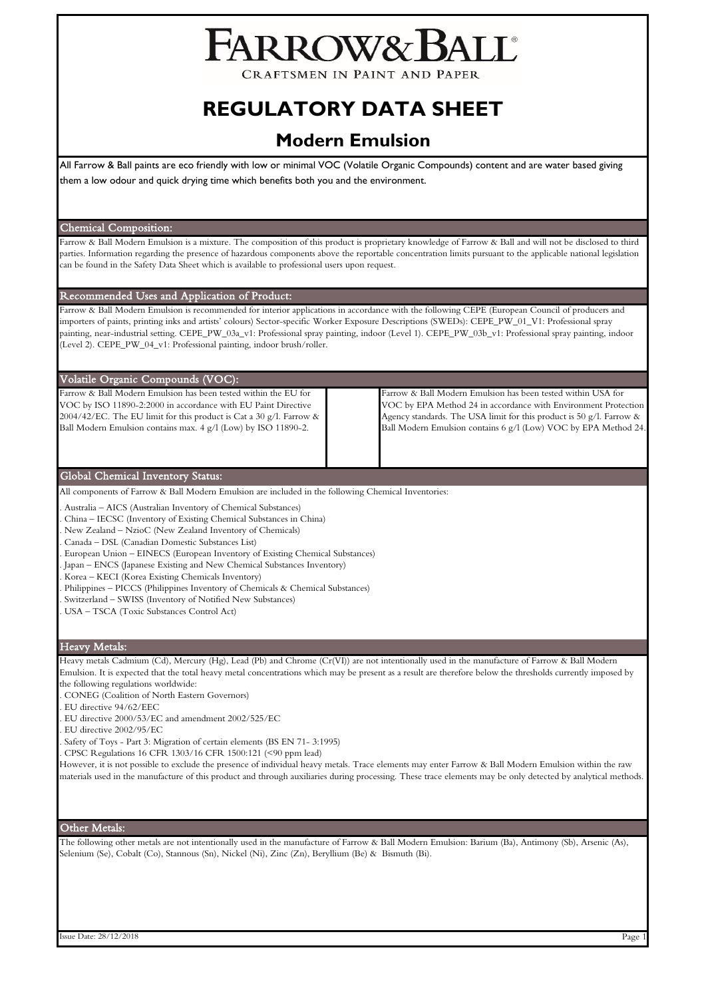# FARROW&BALL

CRAFTSMEN IN PAINT AND PAPER

## **REGULATORY DATA SHEET**

### **Modern Emulsion**

All Farrow & Ball paints are eco friendly with low or minimal VOC (Volatile Organic Compounds) content and are water based giving them a low odour and quick drying time which benefits both you and the environment.

#### Chemical Composition:

Farrow & Ball Modern Emulsion is a mixture. The composition of this product is proprietary knowledge of Farrow & Ball and will not be disclosed to third parties. Information regarding the presence of hazardous components above the reportable concentration limits pursuant to the applicable national legislation can be found in the Safety Data Sheet which is available to professional users upon request.

#### Recommended Uses and Application of Product:

Farrow & Ball Modern Emulsion is recommended for interior applications in accordance with the following CEPE (European Council of producers and importers of paints, printing inks and artists' colours) Sector-specific Worker Exposure Descriptions (SWEDs): CEPE\_PW\_01\_V1: Professional spray painting, near-industrial setting. CEPE\_PW\_03a\_v1: Professional spray painting, indoor (Level 1). CEPE\_PW\_03b\_v1: Professional spray painting, indoor (Level 2). CEPE\_PW\_04\_v1: Professional painting, indoor brush/roller.

#### Volatile Organic Compounds (VOC):

Farrow & Ball Modern Emulsion has been tested within the EU for VOC by ISO 11890-2:2000 in accordance with EU Paint Directive 2004/42/EC. The EU limit for this product is Cat a 30 g/l. Farrow & Ball Modern Emulsion contains max. 4 g/l (Low) by ISO 11890-2.

Farrow & Ball Modern Emulsion has been tested within USA for VOC by EPA Method 24 in accordance with Environment Protection Agency standards. The USA limit for this product is 50 g/l. Farrow & Ball Modern Emulsion contains 6 g/l (Low) VOC by EPA Method 24.

#### Global Chemical Inventory Status:

All components of Farrow & Ball Modern Emulsion are included in the following Chemical Inventories:

- . Australia AICS (Australian Inventory of Chemical Substances)
- . China IECSC (Inventory of Existing Chemical Substances in China)
- . New Zealand NzioC (New Zealand Inventory of Chemicals)
- . Canada DSL (Canadian Domestic Substances List)
- . European Union EINECS (European Inventory of Existing Chemical Substances)
- . Japan ENCS (Japanese Existing and New Chemical Substances Inventory)
- . Korea KECI (Korea Existing Chemicals Inventory)
- . Philippines PICCS (Philippines Inventory of Chemicals & Chemical Substances)
- . Switzerland SWISS (Inventory of Notified New Substances)
- . USA TSCA (Toxic Substances Control Act)

#### Heavy Metals:

Heavy metals Cadmium (Cd), Mercury (Hg), Lead (Pb) and Chrome (Cr(VI)) are not intentionally used in the manufacture of Farrow & Ball Modern Emulsion. It is expected that the total heavy metal concentrations which may be present as a result are therefore below the thresholds currently imposed by the following regulations worldwide:

- . CONEG (Coalition of North Eastern Governors)
- . EU directive 94/62/EEC
- . EU directive 2000/53/EC and amendment 2002/525/EC
- . EU directive 2002/95/EC
- . Safety of Toys Part 3: Migration of certain elements (BS EN 71- 3:1995)
- . CPSC Regulations 16 CFR 1303/16 CFR 1500:121 (<90 ppm lead)

However, it is not possible to exclude the presence of individual heavy metals. Trace elements may enter Farrow & Ball Modern Emulsion within the raw materials used in the manufacture of this product and through auxiliaries during processing. These trace elements may be only detected by analytical methods.

#### Other Metals:

The following other metals are not intentionally used in the manufacture of Farrow & Ball Modern Emulsion: Barium (Ba), Antimony (Sb), Arsenic (As), Selenium (Se), Cobalt (Co), Stannous (Sn), Nickel (Ni), Zinc (Zn), Beryllium (Be) & Bismuth (Bi).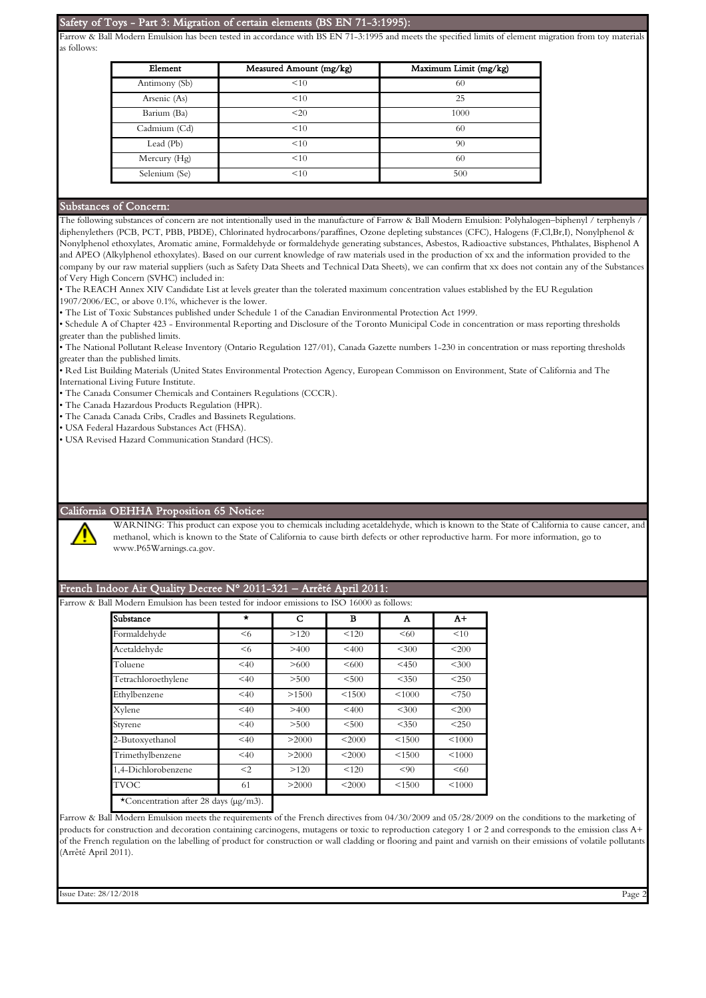#### Safety of Toys - Part 3: Migration of certain elements (BS EN 71-3:1995):

Farrow & Ball Modern Emulsion has been tested in accordance with BS EN 71-3:1995 and meets the specified limits of element migration from toy materials as follows:

| Element       | Measured Amount (mg/kg) | Maximum Limit (mg/kg) |  |  |
|---------------|-------------------------|-----------------------|--|--|
| Antimony (Sb) | <10                     | 60                    |  |  |
| Arsenic (As)  | <10                     | 25                    |  |  |
| Barium (Ba)   | <20                     | 1000                  |  |  |
| Cadmium (Cd)  | <10                     | 60                    |  |  |
| Lead (Pb)     | <10                     | 90                    |  |  |
| Mercury (Hg)  | <10                     | 60                    |  |  |
| Selenium (Se) | <10                     | 500                   |  |  |

#### Substances of Concern:

The following substances of concern are not intentionally used in the manufacture of Farrow & Ball Modern Emulsion: Polyhalogen–biphenyl / terphenyls / diphenylethers (PCB, PCT, PBB, PBDE), Chlorinated hydrocarbons/paraffines, Ozone depleting substances (CFC), Halogens (F,Cl,Br,I), Nonylphenol & Nonylphenol ethoxylates, Aromatic amine, Formaldehyde or formaldehyde generating substances, Asbestos, Radioactive substances, Phthalates, Bisphenol A and APEO (Alkylphenol ethoxylates). Based on our current knowledge of raw materials used in the production of xx and the information provided to the company by our raw material suppliers (such as Safety Data Sheets and Technical Data Sheets), we can confirm that xx does not contain any of the Substances of Very High Concern (SVHC) included in:

• The REACH Annex XIV Candidate List at levels greater than the tolerated maximum concentration values established by the EU Regulation 1907/2006/EC, or above 0.1%, whichever is the lower.

• The List of Toxic Substances published under Schedule 1 of the Canadian Environmental Protection Act 1999.

• Schedule A of Chapter 423 - Environmental Reporting and Disclosure of the Toronto Municipal Code in concentration or mass reporting thresholds greater than the published limits.

• The National Pollutant Release Inventory (Ontario Regulation 127/01), Canada Gazette numbers 1-230 in concentration or mass reporting thresholds greater than the published limits.

• Red List Building Materials (United States Environmental Protection Agency, European Commisson on Environment, State of California and The International Living Future Institute.

• The Canada Consumer Chemicals and Containers Regulations (CCCR).

• The Canada Hazardous Products Regulation (HPR).

• The Canada Canada Cribs, Cradles and Bassinets Regulations.

• USA Federal Hazardous Substances Act (FHSA).

• USA Revised Hazard Communication Standard (HCS).

#### California OEHHA Proposition 65 Notice:

WARNING: This product can expose you to chemicals including acetaldehyde, which is known to the State of California to cause cancer, and methanol, which is known to the State of California to cause birth defects or other reproductive harm. For more information, go to www.P65Warnings.ca.gov.

#### French Indoor Air Quality Decree N° 2011-321 – Arrêté April 2011:

Farrow & Ball Modern Emulsion has been tested for indoor emissions to ISO 16000 as follows:

| Substance           | $\star$ | C     | в        | Α       | $A+$    |
|---------------------|---------|-------|----------|---------|---------|
| Formaldehyde        | $6$     | >120  | < 120    | < 60    | <10     |
| Acetaldehyde        | $6$     | >400  | < 400    | < 300   | <200    |
| Toluene             | < 40    | >600  | <600     | $<$ 450 | < 300   |
| Tetrachloroethylene | < 40    | > 500 | < 500    | < 350   | $<$ 250 |
| Ethylbenzene        | < 40    | >1500 | < 1500   | < 1000  | < 750   |
| Xylene              | < 40    | >400  | $<$ 400  | $<$ 300 | <200    |
| Styrene             | < 40    | > 500 | < 500    | $<$ 350 | $<$ 250 |
| 2-Butoxyethanol     | < 40    | >2000 | $<$ 2000 | < 1500  | < 1000  |
| Trimethylbenzene    | < 40    | >2000 | < 2000   | < 1500  | < 1000  |
| 1.4-Dichlorobenzene | $<$ 2   | >120  | < 120    | < 90    | < 60    |
| <b>TVOC</b>         | 61      | >2000 | $<$ 2000 | < 1500  | < 1000  |

Farrow & Ball Modern Emulsion meets the requirements of the French directives from 04/30/2009 and 05/28/2009 on the conditions to the marketing of products for construction and decoration containing carcinogens, mutagens or toxic to reproduction category 1 or 2 and corresponds to the emission class A+ of the French regulation on the labelling of product for construction or wall cladding or flooring and paint and varnish on their emissions of volatile pollutants (Arrêté April 2011).

Issue Date: 28/12/2018 Page 2